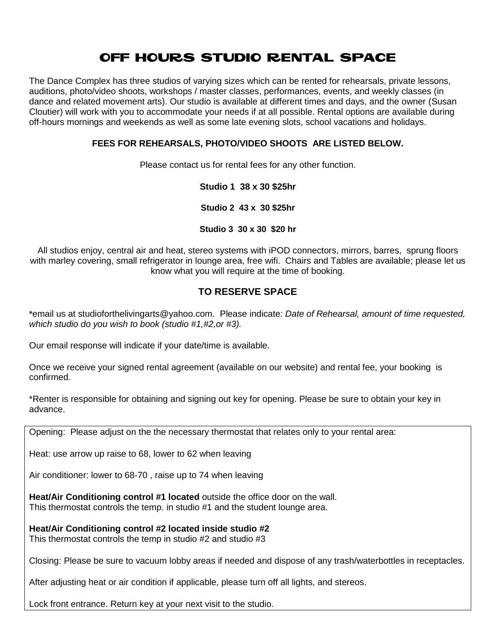### OFF HOURS STUDIO RENTAL SPACE

The Dance Complex has three studios of varying sizes which can be rented for rehearsals, private lessons, auditions, photo/video shoots, workshops / master classes, performances, events, and weekly classes (in dance and related movement arts). Our studio is available at different times and days, and the owner (Susan Cloutier) will work with you to accommodate your needs if at all possible. Rental options are available during off-hours mornings and weekends as well as some late evening slots, school vacations and holidays.

#### **FEES FOR REHEARSALS, PHOTO/VIDEO SHOOTS ARE LISTED BELOW.**

Please contact us for rental fees for any other function.

#### **Studio 1 38 x 30 \$25hr**

**Studio 2 43 x 30 \$25hr**

#### **Studio 3 30 x 30 \$20 hr**

All studios enjoy, central air and heat, stereo systems with iPOD connectors, mirrors, barres, sprung floors with marley covering, small refrigerator in lounge area, free wifi. Chairs and Tables are available; please let us know what you will require at the time of booking.

#### **TO RESERVE SPACE**

**\***email us at studioforthelivingarts@yahoo.com. Please indicate: *Date of Rehearsal, amount of time requested, which studio do you wish to book (studio #1,#2,or #3).*

Our email response will indicate if your date/time is available.

Once we receive your signed rental agreement (available on our website) and rental fee, your booking is confirmed.

\*Renter is responsible for obtaining and signing out key for opening. Please be sure to obtain your key in advance.

Opening: Please adjust on the the necessary thermostat that relates only to your rental area:

Heat: use arrow up raise to 68, lower to 62 when leaving

Air conditioner: lower to 68-70 , raise up to 74 when leaving

**Heat/Air Conditioning control #1 located** outside the office door on the wall. This thermostat controls the temp. in studio #1 and the student lounge area.

**Heat/Air Conditioning control #2 located inside studio #2**  This thermostat controls the temp in studio #2 and studio #3

Closing: Please be sure to vacuum lobby areas if needed and dispose of any trash/waterbottles in receptacles.

After adjusting heat or air condition if applicable, please turn off all lights, and stereos.

Lock front entrance. Return key at your next visit to the studio.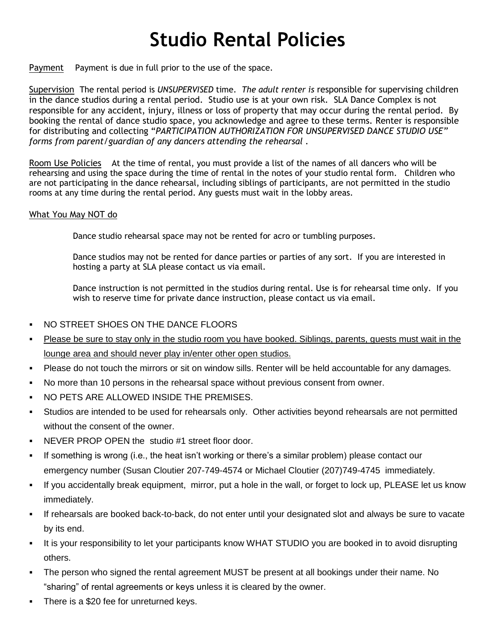## **Studio Rental Policies**

Payment Payment is due in full prior to the use of the space.

Supervision The rental period is *UNSUPERVISED* time. *The adult renter is* responsible for supervising children in the dance studios during a rental period. Studio use is at your own risk. SLA Dance Complex is not responsible for any accident, injury, illness or loss of property that may occur during the rental period. By booking the rental of dance studio space, you acknowledge and agree to these terms. Renter is responsible for distributing and collecting "*PARTICIPATION AUTHORIZATION FOR UNSUPERVISED DANCE STUDIO USE" forms from parent/guardian of any dancers attending the rehearsal .*

Room Use Policies At the time of rental, you must provide a list of the names of all dancers who will be rehearsing and using the space during the time of rental in the notes of your studio rental form. Children who are not participating in the dance rehearsal, including siblings of participants, are not permitted in the studio rooms at any time during the rental period. Any guests must wait in the lobby areas.

#### What You May NOT do

Dance studio rehearsal space may not be rented for acro or tumbling purposes.

Dance studios may not be rented for dance parties or parties of any sort. If you are interested in hosting a party at SLA please contact us via email.

Dance instruction is not permitted in the studios during rental. Use is for rehearsal time only. If you wish to reserve time for private dance instruction, please contact us via email.

- NO STREET SHOES ON THE DANCE FLOORS
- Please be sure to stay only in the studio room you have booked. Siblings, parents, guests must wait in the lounge area and should never play in/enter other open studios.
- Please do not touch the mirrors or sit on window sills. Renter will be held accountable for any damages.
- No more than 10 persons in the rehearsal space without previous consent from owner.
- NO PETS ARE ALLOWED INSIDE THE PREMISES.
- Studios are intended to be used for rehearsals only. Other activities beyond rehearsals are not permitted without the consent of the owner.
- NEVER PROP OPEN the studio #1 street floor door.
- If something is wrong (i.e., the heat isn't working or there's a similar problem) please contact our emergency number (Susan Cloutier 207-749-4574 or Michael Cloutier (207)749-4745 immediately.
- If you accidentally break equipment, mirror, put a hole in the wall, or forget to lock up, PLEASE let us know immediately.
- If rehearsals are booked back-to-back, do not enter until your designated slot and always be sure to vacate by its end.
- It is your responsibility to let your participants know WHAT STUDIO you are booked in to avoid disrupting others.
- The person who signed the rental agreement MUST be present at all bookings under their name. No "sharing" of rental agreements or keys unless it is cleared by the owner.
- There is a \$20 fee for unreturned keys.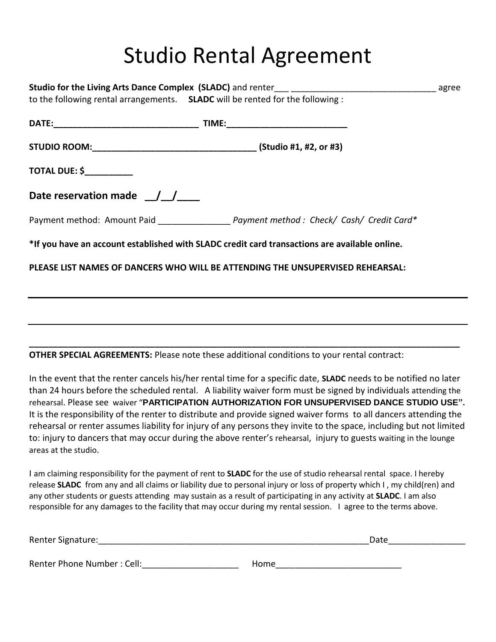# Studio Rental Agreement

|                                  | to the following rental arrangements. SLADC will be rented for the following:                 |  |
|----------------------------------|-----------------------------------------------------------------------------------------------|--|
|                                  |                                                                                               |  |
|                                  |                                                                                               |  |
| <b>TOTAL DUE: \$____________</b> |                                                                                               |  |
| Date reservation made $\angle$   |                                                                                               |  |
|                                  | Payment method: Amount Paid ___________________ Payment method: Check/ Cash/ Credit Card*     |  |
|                                  | *If you have an account established with SLADC credit card transactions are available online. |  |
|                                  | PLEASE LIST NAMES OF DANCERS WHO WILL BE ATTENDING THE UNSUPERVISED REHEARSAL:                |  |
|                                  |                                                                                               |  |
|                                  |                                                                                               |  |
|                                  |                                                                                               |  |

**OTHER SPECIAL AGREEMENTS:** Please note these additional conditions to your rental contract:

In the event that the renter cancels his/her rental time for a specific date, **SLADC** needs to be notified no later than 24 hours before the scheduled rental. A liability waiver form must be signed by individuals attending the rehearsal. Please see waiver "**PARTICIPATION AUTHORIZATION FOR UNSUPERVISED DANCE STUDIO USE".**  It is the responsibility of the renter to distribute and provide signed waiver forms to all dancers attending the rehearsal or renter assumes liability for injury of any persons they invite to the space, including but not limited to: injury to dancers that may occur during the above renter's rehearsal, injury to guests waiting in the lounge areas at the studio.

**\_\_\_\_\_\_\_\_\_\_\_\_\_\_\_\_\_\_\_\_\_\_\_\_\_\_\_\_\_\_\_\_\_\_\_\_\_\_\_\_\_\_\_\_\_\_\_\_\_\_\_\_\_\_\_\_\_\_\_\_\_\_\_\_\_\_\_\_\_\_\_\_\_\_\_\_\_\_\_\_\_\_\_\_\_\_\_\_\_**

I am claiming responsibility for the payment of rent to **SLADC** for the use of studio rehearsal rental space. I hereby release **SLADC** from any and all claims or liability due to personal injury or loss of property which I , my child(ren) and any other students or guests attending may sustain as a result of participating in any activity at **SLADC**. I am also responsible for any damages to the facility that may occur during my rental session. I agree to the terms above.

| Renter Signature:          | Date |  |
|----------------------------|------|--|
|                            |      |  |
| Renter Phone Number: Cell: | Home |  |